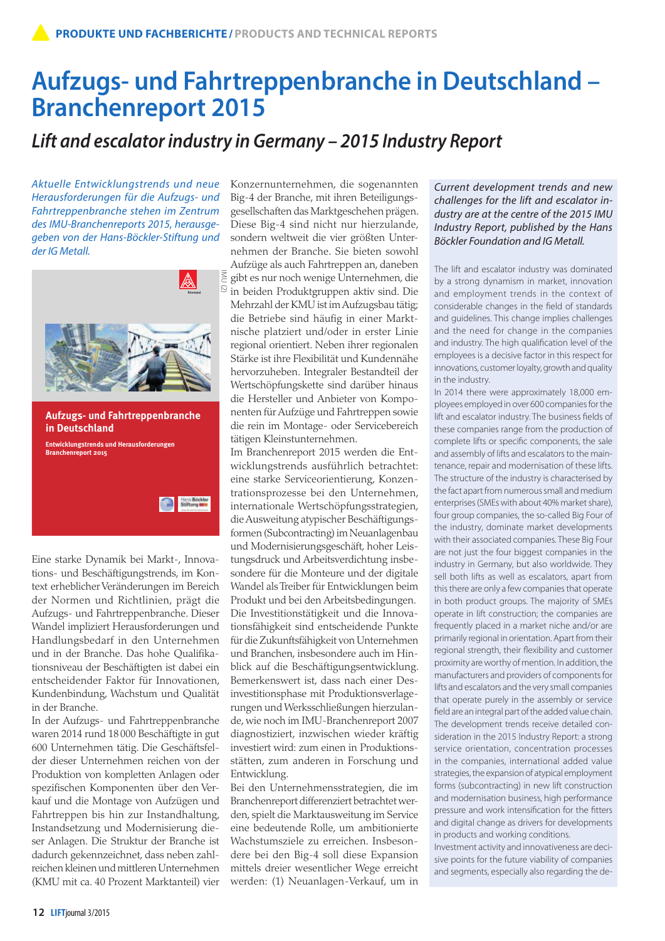# **Aufzugs- und Fahrtreppenbranche in Deutschland – Branchenreport 2015**

## *Lift and escalator industry in Germany – 2015 Industry Report*

*Aktuelle Entwicklungstrends und neue Herausforderungen für die Aufzugs- und Fahrtreppenbranche stehen im Zentrum des IMU-Branchenreports 2015, herausgegeben von der Hans-Böckler-Stiftung und der IG Metall.* 



Eine starke Dynamik bei Markt-, Innovations- und Beschäftigungstrends, im Kontext erheblicher Veränderungen im Bereich der Normen und Richtlinien, prägt die Aufzugs- und Fahrtreppenbranche. Dieser Wandel impliziert Herausforderungen und Handlungsbedarf in den Unternehmen und in der Branche. Das hohe Qualifikationsniveau der Beschäftigten ist dabei ein entscheidender Faktor für Innovationen, Kundenbindung, Wachstum und Qualität in der Branche.

In der Aufzugs- und Fahrtreppenbranche waren 2014 rund 18 000 Beschäftigte in gut 600 Unternehmen tätig. Die Geschäftsfelder dieser Unternehmen reichen von der Produktion von kompletten Anlagen oder spezifischen Komponenten über den Verkauf und die Montage von Aufzügen und Fahrtreppen bis hin zur Instandhaltung, Instandsetzung und Modernisierung dieser Anlagen. Die Struktur der Branche ist dadurch gekennzeichnet, dass neben zahlreichen kleinen und mittleren Unternehmen (KMU mit ca. 40 Prozent Marktanteil) vier

Konzernunternehmen, die sogenannten Big-4 der Branche, mit ihren Beteiligungsgesellschaften das Marktgeschehen prägen. Diese Big-4 sind nicht nur hierzulande, sondern weltweit die vier größten Unternehmen der Branche. Sie bieten sowohl Aufzüge als auch Fahrtreppen an, daneben gibt es nur noch wenige Unternehmen, die in beiden Produktgruppen aktiv sind. Die Mehrzahl der KMU ist im Aufzugsbau tätig; die Betriebe sind häufig in einer Marktnische platziert und/oder in erster Linie regional orientiert. Neben ihrer regionalen Stärke ist ihre Flexibilität und Kundennähe hervorzuheben. Integraler Bestandteil der Wertschöpfungskette sind darüber hinaus die Hersteller und Anbieter von Komponenten für Aufzüge und Fahrtreppen sowie die rein im Montage- oder Servicebereich tätigen Kleinstunternehmen.

Im Branchenreport 2015 werden die Entwicklungstrends ausführlich betrachtet: eine starke Serviceorientierung, Konzentrationsprozesse bei den Unternehmen, internationale Wertschöpfungsstrategien, die Ausweitung atypischer Beschäftigungsformen (Subcontracting) im Neuanlagenbau und Modernisierungsgeschäft, hoher Leistungsdruck und Arbeitsverdichtung insbesondere für die Monteure und der digitale Wandel als Treiber für Entwicklungen beim Produkt und bei den Arbeitsbedingungen. Die Investitionstätigkeit und die Innovationsfähigkeit sind entscheidende Punkte für die Zukunftsfähigkeit von Unternehmen und Branchen, insbesondere auch im Hinblick auf die Beschäftigungsentwicklung. Bemerkenswert ist, dass nach einer Desinvestitionsphase mit Produktionsverlagerungen und Werksschließungen hierzulande, wie noch im IMU-Branchenreport 2007 diagnostiziert, inzwischen wieder kräftig investiert wird: zum einen in Produktionsstätten, zum anderen in Forschung und Entwicklung.

Bei den Unternehmensstrategien, die im Branchenreport differenziert betrachtet werden, spielt die Marktausweitung im Service eine bedeutende Rolle, um ambitionierte Wachstumsziele zu erreichen. Insbesondere bei den Big-4 soll diese Expansion mittels dreier wesentlicher Wege erreicht werden: (1) Neuanlagen-Verkauf, um in

#### *Current development trends and new challenges for the lift and escalator industry are at the centre of the 2015 IMU Industry Report, published by the Hans Böckler Foundation and IG Metall.*

The lift and escalator industry was dominated by a strong dynamism in market, innovation and employment trends in the context of considerable changes in the field of standards and guidelines. This change implies challenges and the need for change in the companies and industry. The high qualification level of the employees is a decisive factor in this respect for innovations, customer loyalty, growth and quality in the industry.

In 2014 there were approximately 18,000 employees employed in over 600 companies for the lift and escalator industry. The business fields of these companies range from the production of complete lifts or specific components, the sale and assembly of lifts and escalators to the maintenance, repair and modernisation of these lifts. The structure of the industry is characterised by the fact apart from numerous small and medium enterprises (SMEs with about 40% market share), four group companies, the so-called Big Four of the industry, dominate market developments with their associated companies. These Big Four are not just the four biggest companies in the industry in Germany, but also worldwide. They sell both lifts as well as escalators, apart from this there are only a few companies that operate in both product groups. The majority of SMEs operate in lift construction; the companies are frequently placed in a market niche and/or are primarily regional in orientation. Apart from their regional strength, their flexibility and customer proximity are worthy of mention. In addition, the manufacturers and providers of components for lifts and escalators and the very small companies that operate purely in the assembly or service field are an integral part of the added value chain. The development trends receive detailed consideration in the 2015 Industry Report: a strong service orientation, concentration processes in the companies, international added value strategies, the expansion of atypical employment forms (subcontracting) in new lift construction and modernisation business, high performance pressure and work intensification for the fitters and digital change as drivers for developments in products and working conditions.

Investment activity and innovativeness are decisive points for the future viability of companies and segments, especially also regarding the de